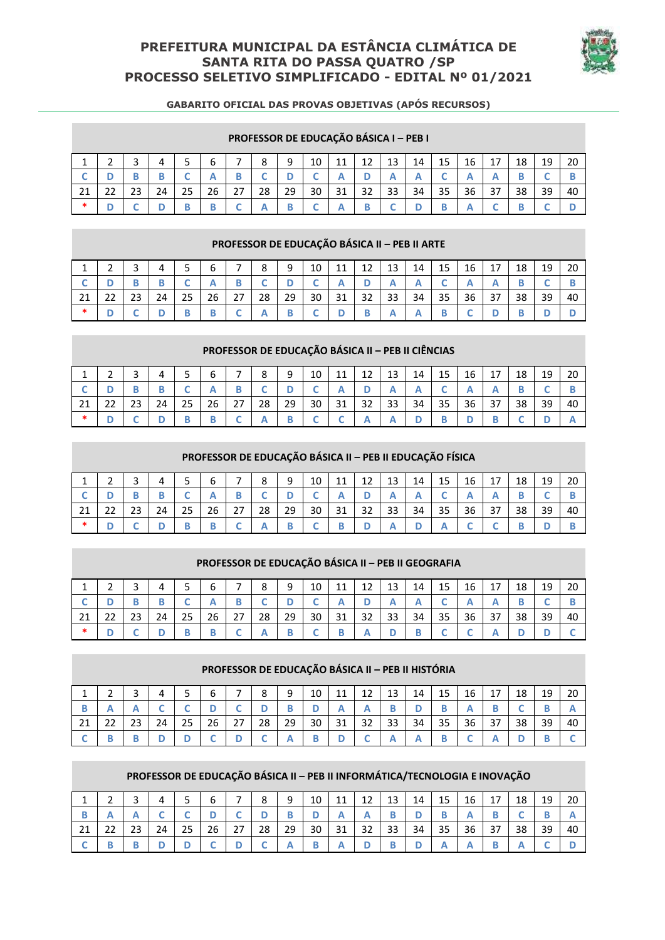# **PREFEITURA MUNICIPAL DA ESTÂNCIA CLIMÁTICA DE SANTA RITA DO PASSA QUATRO /SP PROCESSO SELETIVO SIMPLIFICADO - EDITAL Nº 01/2021**



|    |        |    |    |    |    |    | <b>FRUFESSUR DE EDUCAÇÃO BASICA I – FEB I</b> |    |    |    |    |    |    |    |    |    |    |    |    |
|----|--------|----|----|----|----|----|-----------------------------------------------|----|----|----|----|----|----|----|----|----|----|----|----|
|    |        |    | 4  |    | 6  |    | 8                                             | 9  | 10 | 11 | 12 | 13 | 14 | 15 | 16 | 17 | 18 | 19 | 20 |
|    |        |    |    |    | А  | D  |                                               |    |    |    | м  | А  |    |    | r  |    |    |    | B  |
| 21 | $\sim$ | 23 | 24 | 25 | 26 | 27 | 28                                            | 29 | 30 | 31 | 32 | 33 | 34 | 35 | 36 | 37 | 38 | 39 | 40 |
| *  |        |    |    |    | В  |    |                                               |    |    |    |    | ◡  |    |    |    |    |    |    |    |

# **PROFESSOR DE EDUCAÇÃO BÁSICA I – PEB I**

#### **PROFESSOR DE EDUCAÇÃO BÁSICA II – PEB II ARTE**

|     | ∍ |    |    | к      | 6  | $\overline{ }$ | 8  | 9  | 10 | 11 | 12 | 13 | 14 | 15 | 16 | 17 | 18 | 19 | 20 |
|-----|---|----|----|--------|----|----------------|----|----|----|----|----|----|----|----|----|----|----|----|----|
|     |   |    |    | $\sim$ |    | R              | C. |    |    |    |    |    |    |    |    |    |    |    |    |
| -21 |   | 23 | 24 | 25     | 26 | 27             | 28 | 29 | 30 | 31 | 32 | 33 | 34 | 35 | 36 | 37 | 38 | 39 | 40 |
| -*  |   |    |    |        | B  |                |    |    |    | D  | B  |    |    |    |    |    |    |    |    |

#### **PROFESSOR DE EDUCAÇÃO BÁSICA II – PEB II CIÊNCIAS**

|    |     |    |    |    | b  | ⇁  | 8  | q  | 10 | 11 | 12 | 13 | 14 | 15 | 16              | 17   | 18 | 19 | 20 |
|----|-----|----|----|----|----|----|----|----|----|----|----|----|----|----|-----------------|------|----|----|----|
|    |     |    |    |    |    |    |    |    |    |    |    |    |    |    |                 |      |    |    |    |
| 21 | -22 | 23 | 24 | 25 | 26 | 27 | 28 | 29 | 30 | 31 | 32 | 33 | 34 | 35 | 36 <sup>1</sup> | - 37 | 38 | 39 | 40 |
| ∗  |     |    |    |    |    | ◡  | A  |    | ◡  |    |    | A  |    | B  |                 | B    |    |    |    |

#### **PROFESSOR DE EDUCAÇÃO BÁSICA II – PEB II EDUCAÇÃO FÍSICA**

|    |         |    |    |    | 6  | $\overline{\phantom{0}}$ | 8  | $\Omega$ | 10 | 11 | 12<br>∸∸ | 13 | 14 | 15 | 16 | 17 | 18 | 19 | 20 |
|----|---------|----|----|----|----|--------------------------|----|----------|----|----|----------|----|----|----|----|----|----|----|----|
|    |         |    |    |    |    |                          |    |          |    |    |          |    |    |    |    |    |    |    |    |
| 21 | າາ<br>ᅩ | 23 | 24 | 25 | 26 | 27                       | 28 | 29       | 30 | 31 | 32       | 33 | 34 | 35 | 36 | 37 | 38 | 39 | 40 |
| ∗  |         |    |    | B  |    | $\sqrt{2}$               |    |          |    |    |          |    | D  | A  |    |    |    |    |    |

|        |  |    |    |    |    | PROFESSOR DE EDUCAÇÃO BÁSICA II - PEB II GEOGRAFIA |    |    |    |    |    |    |    |    |    |    |    |
|--------|--|----|----|----|----|----------------------------------------------------|----|----|----|----|----|----|----|----|----|----|----|
|        |  |    |    |    |    | 8                                                  | a  | 10 | 11 |    | 13 | 14 | 15 | 16 | 18 | 19 | 20 |
|        |  |    |    |    | В  |                                                    |    |    |    |    |    | А  |    |    |    |    |    |
| 21     |  | 24 | 25 | 26 | 27 | 28                                                 | 29 | 30 |    | 32 | 33 | 34 | 35 | 36 | 38 | 39 | 40 |
| $\ast$ |  |    |    |    |    |                                                    |    |    |    |    |    |    |    |    |    |    |    |

# **PROFESSOR DE EDUCAÇÃO BÁSICA II – PEB II HISTÓRIA**

|    |    |    |    | h  | ⇁  | 8  | q  | 10 | 11 | 12<br>∸∸ | 13 | 14 | 15 | 16 | 17 | 18 | 19 | 20 |
|----|----|----|----|----|----|----|----|----|----|----------|----|----|----|----|----|----|----|----|
|    |    |    |    |    |    |    |    |    |    |          |    |    |    |    |    |    |    |    |
| 21 | າາ | 24 | 25 | 26 | 27 | 28 | 29 | 30 | 31 | 32       | 33 | 34 | 35 | 36 | 37 | 38 | 39 | 40 |
|    |    |    |    |    |    |    |    |    |    |          |    | A  |    |    |    |    |    |    |

### **PROFESSOR DE EDUCAÇÃO BÁSICA II – PEB II INFORMÁTICA/TECNOLOGIA E INOVAÇÃO**

|     |    |    |    |    | b  | ⇁  | 8  | 9  | 10 | 11 | 12<br>∸∸ | 13 | 14 | 15 | 16 | 17 | 18 | 19 | 20 |
|-----|----|----|----|----|----|----|----|----|----|----|----------|----|----|----|----|----|----|----|----|
|     |    |    |    |    |    |    |    |    |    |    |          |    |    |    |    |    |    |    |    |
| -21 | 22 | 23 | 24 | 25 | 26 | 27 | 28 | 29 | 30 | 31 | 32       | 33 | 34 | 35 | 36 | 37 | 38 | 39 | 40 |
|     |    | В  |    |    |    |    |    |    |    |    |          |    |    |    |    |    |    |    |    |